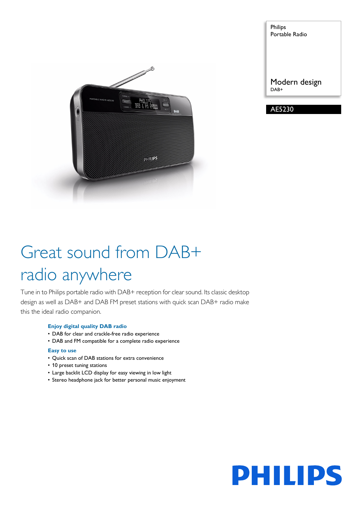

Philips Portable Radio Modern design DAB+

AE5230

# Great sound from DAB+ radio anywhere

Tune in to Philips portable radio with DAB+ reception for clear sound. Its classic desktop design as well as DAB+ and DAB FM preset stations with quick scan DAB+ radio make this the ideal radio companion.

# **Enjoy digital quality DAB radio**

- DAB for clear and crackle-free radio experience
- DAB and FM compatible for a complete radio experience

# **Easy to use**

- Quick scan of DAB stations for extra convenience
- 10 preset tuning stations
- Large backlit LCD display for easy viewing in low light
- Stereo headphone jack for better personal music enjoyment